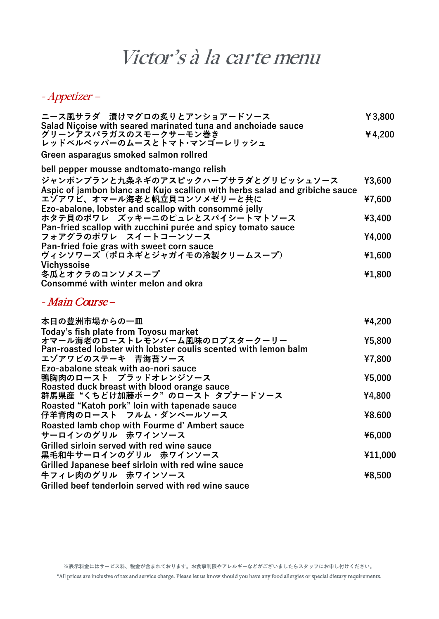## Victor's à la carte menu

## - Appetizer –

| ニース風サラダ 漬けマグロの炙りとアンショアードソース                                                                                          | ¥3,800 |
|----------------------------------------------------------------------------------------------------------------------|--------|
| Salad Niçoise with seared marinated tuna and anchoiade sauce<br>グリーンアスパラガスのスモークサーモン巻き<br>レッドベルペッパーのムースとトマト・マンゴーレリッシュ | ¥4,200 |
| Green asparagus smoked salmon rollred                                                                                |        |
| bell pepper mousse andtomato-mango relish                                                                            |        |
| ジャンボンブランと九条ネギのアスピックハーブサラダとグリビッシュソース<br>Aspic of jambon blanc and Kujo scallion with herbs salad and gribiche sauce   | ¥3,600 |
| エゾアワビ、オマール海老と帆立貝コンソメゼリーと共に                                                                                           | ¥7,600 |
| Ezo-abalone, lobster and scallop with consommé jelly<br>ホタテ貝のポワレ ズッキーニのピュレとスパイシートマトソース                               | ¥3,400 |
| Pan-fried scallop with zucchini purée and spicy tomato sauce                                                         |        |
| フォアグラのポワレ スイートコーンソース                                                                                                 | ¥4,000 |
| Pan-fried foie gras with sweet corn sauce<br>ヴィシソワーズ(ポロネギとジャガイモの冷製クリームスープ)                                           | ¥1,600 |
| Vichyssoise<br>冬瓜とオクラのコンソメスープ                                                                                        | ¥1,800 |
| Consommé with winter melon and okra                                                                                  |        |

## - Main Course –

| 本日の豊洲市場からの一皿                                                    | ¥4,200  |
|-----------------------------------------------------------------|---------|
| Today's fish plate from Toyosu market                           |         |
| オマール海老のローストレモンバーム風味のロブスタークーリー                                   | ¥5,800  |
| Pan-roasted lobster with lobster coulis scented with lemon balm |         |
| エゾアワビのステーキ 青海苔ソース                                               | ¥7,800  |
| Ezo-abalone steak with ao-nori sauce                            |         |
| 鴨胸肉のロースト ブラッドオレンジソース                                            | ¥5,000  |
| Roasted duck breast with blood orange sauce                     |         |
| 群馬県産"くちどけ加藤ポーク"のロースト タプナードソース                                   | ¥4,800  |
| Roasted "Katoh pork" loin with tapenade sauce                   |         |
| 仔羊背肉のロースト フルム・ダンベールソース                                          | ¥8.600  |
| Roasted lamb chop with Fourme d'Ambert sauce                    |         |
| サーロインのグリル 赤ワインソース                                               | ¥6,000  |
| Grilled sirloin served with red wine sauce                      |         |
| 黒毛和牛サーロインのグリル 赤ワインソース                                           | ¥11,000 |
| Grilled Japanese beef sirloin with red wine sauce               |         |
| 牛フィレ肉のグリル 赤ワインソース                                               | ¥8,500  |
| Grilled beef tenderloin served with red wine sauce              |         |

\*All prices are inclusive of tax and service charge. Please let us know should you have any food allergies or special dietary requirements.